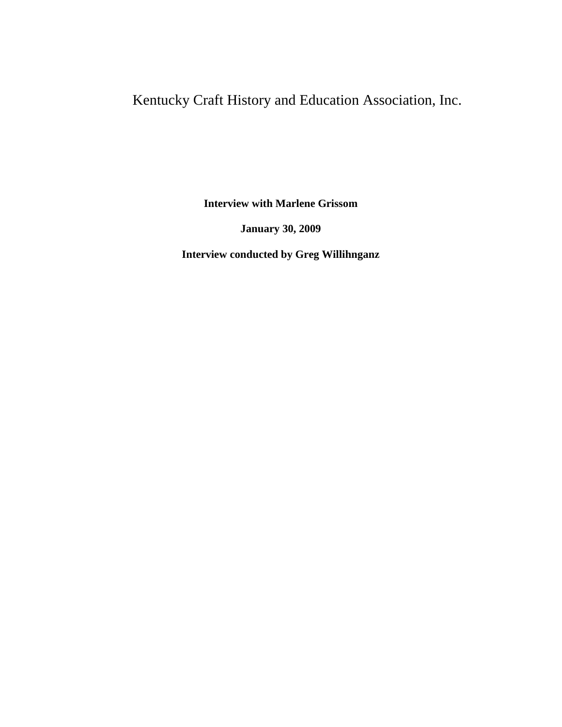## Kentucky Craft History and Education Association, Inc.

**Interview with Marlene Grissom**

**January 30, 2009**

**Interview conducted by Greg Willihnganz**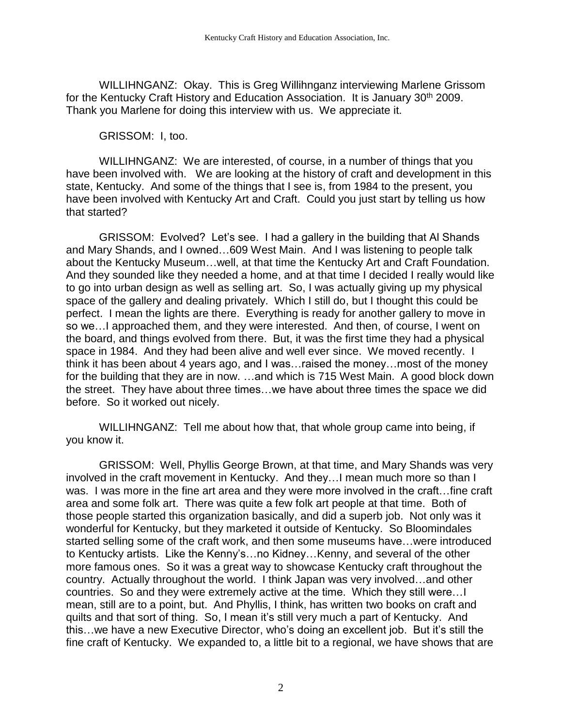WILLIHNGANZ: Okay. This is Greg Willihnganz interviewing Marlene Grissom for the Kentucky Craft History and Education Association. It is January 30<sup>th</sup> 2009. Thank you Marlene for doing this interview with us. We appreciate it.

GRISSOM: I, too.

WILLIHNGANZ: We are interested, of course, in a number of things that you have been involved with. We are looking at the history of craft and development in this state, Kentucky. And some of the things that I see is, from 1984 to the present, you have been involved with Kentucky Art and Craft. Could you just start by telling us how that started?

GRISSOM: Evolved? Let's see. I had a gallery in the building that Al Shands and Mary Shands, and I owned…609 West Main. And I was listening to people talk about the Kentucky Museum…well, at that time the Kentucky Art and Craft Foundation. And they sounded like they needed a home, and at that time I decided I really would like to go into urban design as well as selling art. So, I was actually giving up my physical space of the gallery and dealing privately. Which I still do, but I thought this could be perfect. I mean the lights are there. Everything is ready for another gallery to move in so we…I approached them, and they were interested. And then, of course, I went on the board, and things evolved from there. But, it was the first time they had a physical space in 1984. And they had been alive and well ever since. We moved recently. I think it has been about 4 years ago, and I was…raised the money…most of the money for the building that they are in now. …and which is 715 West Main. A good block down the street. They have about three times…we have about three times the space we did before. So it worked out nicely.

WILLIHNGANZ: Tell me about how that, that whole group came into being, if you know it.

GRISSOM: Well, Phyllis George Brown, at that time, and Mary Shands was very involved in the craft movement in Kentucky. And they…I mean much more so than I was. I was more in the fine art area and they were more involved in the craft…fine craft area and some folk art. There was quite a few folk art people at that time. Both of those people started this organization basically, and did a superb job. Not only was it wonderful for Kentucky, but they marketed it outside of Kentucky. So Bloomindales started selling some of the craft work, and then some museums have…were introduced to Kentucky artists. Like the Kenny's…no Kidney…Kenny, and several of the other more famous ones. So it was a great way to showcase Kentucky craft throughout the country. Actually throughout the world. I think Japan was very involved…and other countries. So and they were extremely active at the time. Which they still were…I mean, still are to a point, but. And Phyllis, I think, has written two books on craft and quilts and that sort of thing. So, I mean it's still very much a part of Kentucky. And this…we have a new Executive Director, who's doing an excellent job. But it's still the fine craft of Kentucky. We expanded to, a little bit to a regional, we have shows that are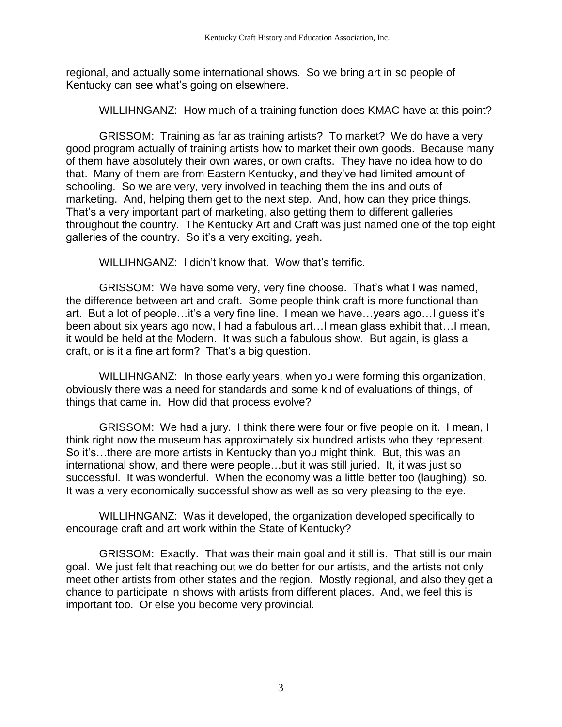regional, and actually some international shows. So we bring art in so people of Kentucky can see what's going on elsewhere.

WILLIHNGANZ: How much of a training function does KMAC have at this point?

GRISSOM: Training as far as training artists? To market? We do have a very good program actually of training artists how to market their own goods. Because many of them have absolutely their own wares, or own crafts. They have no idea how to do that. Many of them are from Eastern Kentucky, and they've had limited amount of schooling. So we are very, very involved in teaching them the ins and outs of marketing. And, helping them get to the next step. And, how can they price things. That's a very important part of marketing, also getting them to different galleries throughout the country. The Kentucky Art and Craft was just named one of the top eight galleries of the country. So it's a very exciting, yeah.

WILLIHNGANZ: I didn't know that. Wow that's terrific.

GRISSOM: We have some very, very fine choose. That's what I was named, the difference between art and craft. Some people think craft is more functional than art. But a lot of people…it's a very fine line. I mean we have…years ago…I guess it's been about six years ago now, I had a fabulous art…I mean glass exhibit that…I mean, it would be held at the Modern. It was such a fabulous show. But again, is glass a craft, or is it a fine art form? That's a big question.

WILLIHNGANZ: In those early years, when you were forming this organization, obviously there was a need for standards and some kind of evaluations of things, of things that came in. How did that process evolve?

GRISSOM: We had a jury. I think there were four or five people on it. I mean, I think right now the museum has approximately six hundred artists who they represent. So it's…there are more artists in Kentucky than you might think. But, this was an international show, and there were people…but it was still juried. It, it was just so successful. It was wonderful. When the economy was a little better too (laughing), so. It was a very economically successful show as well as so very pleasing to the eye.

WILLIHNGANZ: Was it developed, the organization developed specifically to encourage craft and art work within the State of Kentucky?

GRISSOM: Exactly. That was their main goal and it still is. That still is our main goal. We just felt that reaching out we do better for our artists, and the artists not only meet other artists from other states and the region. Mostly regional, and also they get a chance to participate in shows with artists from different places. And, we feel this is important too. Or else you become very provincial.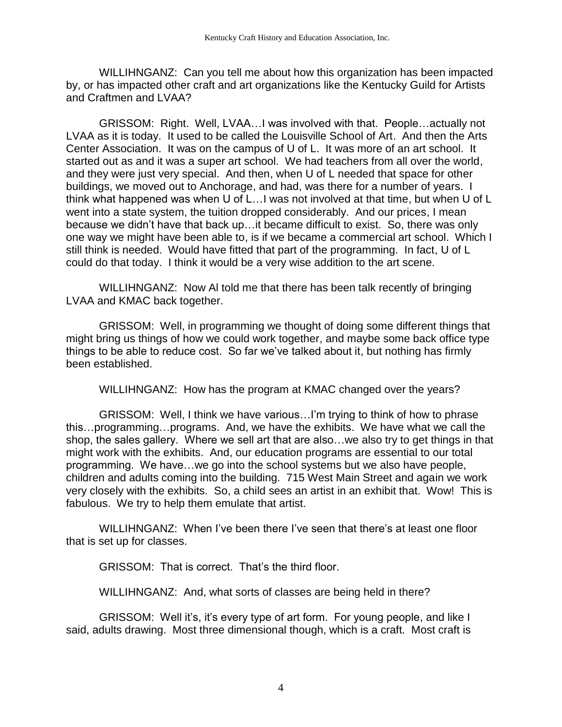WILLIHNGANZ: Can you tell me about how this organization has been impacted by, or has impacted other craft and art organizations like the Kentucky Guild for Artists and Craftmen and LVAA?

GRISSOM: Right. Well, LVAA…I was involved with that. People…actually not LVAA as it is today. It used to be called the Louisville School of Art. And then the Arts Center Association. It was on the campus of U of L. It was more of an art school. It started out as and it was a super art school. We had teachers from all over the world, and they were just very special. And then, when U of L needed that space for other buildings, we moved out to Anchorage, and had, was there for a number of years. I think what happened was when U of L…I was not involved at that time, but when U of L went into a state system, the tuition dropped considerably. And our prices, I mean because we didn't have that back up…it became difficult to exist. So, there was only one way we might have been able to, is if we became a commercial art school. Which I still think is needed. Would have fitted that part of the programming. In fact, U of L could do that today. I think it would be a very wise addition to the art scene.

WILLIHNGANZ: Now Al told me that there has been talk recently of bringing LVAA and KMAC back together.

GRISSOM: Well, in programming we thought of doing some different things that might bring us things of how we could work together, and maybe some back office type things to be able to reduce cost. So far we've talked about it, but nothing has firmly been established.

WILLIHNGANZ: How has the program at KMAC changed over the years?

GRISSOM: Well, I think we have various…I'm trying to think of how to phrase this…programming…programs. And, we have the exhibits. We have what we call the shop, the sales gallery. Where we sell art that are also…we also try to get things in that might work with the exhibits. And, our education programs are essential to our total programming. We have…we go into the school systems but we also have people, children and adults coming into the building. 715 West Main Street and again we work very closely with the exhibits. So, a child sees an artist in an exhibit that. Wow! This is fabulous. We try to help them emulate that artist.

WILLIHNGANZ: When I've been there I've seen that there's at least one floor that is set up for classes.

GRISSOM: That is correct. That's the third floor.

WILLIHNGANZ: And, what sorts of classes are being held in there?

GRISSOM: Well it's, it's every type of art form. For young people, and like I said, adults drawing. Most three dimensional though, which is a craft. Most craft is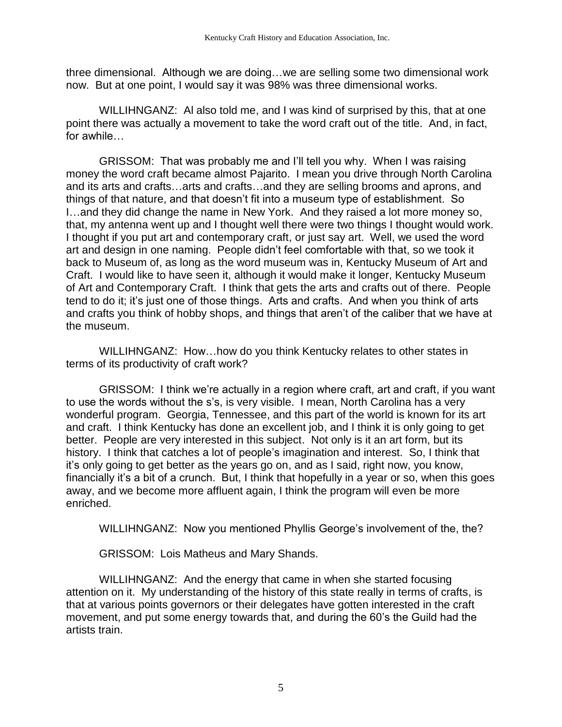three dimensional. Although we are doing…we are selling some two dimensional work now. But at one point, I would say it was 98% was three dimensional works.

WILLIHNGANZ: Al also told me, and I was kind of surprised by this, that at one point there was actually a movement to take the word craft out of the title. And, in fact, for awhile…

GRISSOM: That was probably me and I'll tell you why. When I was raising money the word craft became almost Pajarito. I mean you drive through North Carolina and its arts and crafts…arts and crafts…and they are selling brooms and aprons, and things of that nature, and that doesn't fit into a museum type of establishment. So I…and they did change the name in New York. And they raised a lot more money so, that, my antenna went up and I thought well there were two things I thought would work. I thought if you put art and contemporary craft, or just say art. Well, we used the word art and design in one naming. People didn't feel comfortable with that, so we took it back to Museum of, as long as the word museum was in, Kentucky Museum of Art and Craft. I would like to have seen it, although it would make it longer, Kentucky Museum of Art and Contemporary Craft. I think that gets the arts and crafts out of there. People tend to do it; it's just one of those things. Arts and crafts. And when you think of arts and crafts you think of hobby shops, and things that aren't of the caliber that we have at the museum.

WILLIHNGANZ: How…how do you think Kentucky relates to other states in terms of its productivity of craft work?

GRISSOM: I think we're actually in a region where craft, art and craft, if you want to use the words without the s's, is very visible. I mean, North Carolina has a very wonderful program. Georgia, Tennessee, and this part of the world is known for its art and craft. I think Kentucky has done an excellent job, and I think it is only going to get better. People are very interested in this subject. Not only is it an art form, but its history. I think that catches a lot of people's imagination and interest. So, I think that it's only going to get better as the years go on, and as I said, right now, you know, financially it's a bit of a crunch. But, I think that hopefully in a year or so, when this goes away, and we become more affluent again, I think the program will even be more enriched.

WILLIHNGANZ: Now you mentioned Phyllis George's involvement of the, the?

GRISSOM: Lois Matheus and Mary Shands.

WILLIHNGANZ: And the energy that came in when she started focusing attention on it. My understanding of the history of this state really in terms of crafts, is that at various points governors or their delegates have gotten interested in the craft movement, and put some energy towards that, and during the 60's the Guild had the artists train.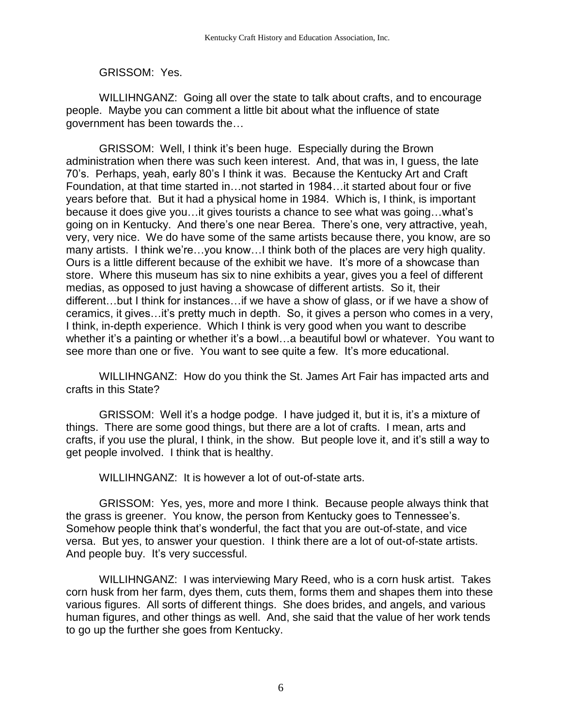## GRISSOM: Yes.

WILLIHNGANZ: Going all over the state to talk about crafts, and to encourage people. Maybe you can comment a little bit about what the influence of state government has been towards the…

GRISSOM: Well, I think it's been huge. Especially during the Brown administration when there was such keen interest. And, that was in, I guess, the late 70's. Perhaps, yeah, early 80's I think it was. Because the Kentucky Art and Craft Foundation, at that time started in…not started in 1984…it started about four or five years before that. But it had a physical home in 1984. Which is, I think, is important because it does give you…it gives tourists a chance to see what was going…what's going on in Kentucky. And there's one near Berea. There's one, very attractive, yeah, very, very nice. We do have some of the same artists because there, you know, are so many artists. I think we're…you know…I think both of the places are very high quality. Ours is a little different because of the exhibit we have. It's more of a showcase than store. Where this museum has six to nine exhibits a year, gives you a feel of different medias, as opposed to just having a showcase of different artists. So it, their different…but I think for instances…if we have a show of glass, or if we have a show of ceramics, it gives…it's pretty much in depth. So, it gives a person who comes in a very, I think, in-depth experience. Which I think is very good when you want to describe whether it's a painting or whether it's a bowl...a beautiful bowl or whatever. You want to see more than one or five. You want to see quite a few. It's more educational.

WILLIHNGANZ: How do you think the St. James Art Fair has impacted arts and crafts in this State?

GRISSOM: Well it's a hodge podge. I have judged it, but it is, it's a mixture of things. There are some good things, but there are a lot of crafts. I mean, arts and crafts, if you use the plural, I think, in the show. But people love it, and it's still a way to get people involved. I think that is healthy.

WILLIHNGANZ: It is however a lot of out-of-state arts.

GRISSOM: Yes, yes, more and more I think. Because people always think that the grass is greener. You know, the person from Kentucky goes to Tennessee's. Somehow people think that's wonderful, the fact that you are out-of-state, and vice versa. But yes, to answer your question. I think there are a lot of out-of-state artists. And people buy. It's very successful.

WILLIHNGANZ: I was interviewing Mary Reed, who is a corn husk artist. Takes corn husk from her farm, dyes them, cuts them, forms them and shapes them into these various figures. All sorts of different things. She does brides, and angels, and various human figures, and other things as well. And, she said that the value of her work tends to go up the further she goes from Kentucky.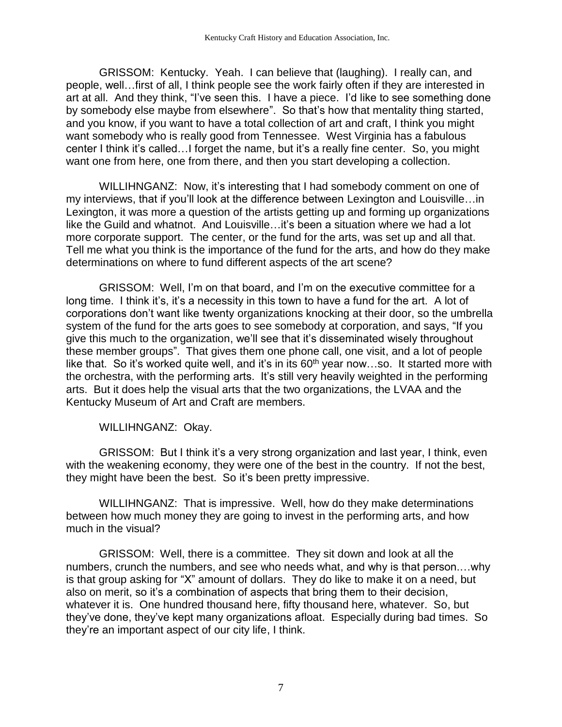GRISSOM: Kentucky. Yeah. I can believe that (laughing). I really can, and people, well…first of all, I think people see the work fairly often if they are interested in art at all. And they think, "I've seen this. I have a piece. I'd like to see something done by somebody else maybe from elsewhere". So that's how that mentality thing started, and you know, if you want to have a total collection of art and craft, I think you might want somebody who is really good from Tennessee. West Virginia has a fabulous center I think it's called…I forget the name, but it's a really fine center. So, you might want one from here, one from there, and then you start developing a collection.

WILLIHNGANZ: Now, it's interesting that I had somebody comment on one of my interviews, that if you'll look at the difference between Lexington and Louisville…in Lexington, it was more a question of the artists getting up and forming up organizations like the Guild and whatnot. And Louisville…it's been a situation where we had a lot more corporate support. The center, or the fund for the arts, was set up and all that. Tell me what you think is the importance of the fund for the arts, and how do they make determinations on where to fund different aspects of the art scene?

GRISSOM: Well, I'm on that board, and I'm on the executive committee for a long time. I think it's, it's a necessity in this town to have a fund for the art. A lot of corporations don't want like twenty organizations knocking at their door, so the umbrella system of the fund for the arts goes to see somebody at corporation, and says, "If you give this much to the organization, we'll see that it's disseminated wisely throughout these member groups". That gives them one phone call, one visit, and a lot of people like that. So it's worked quite well, and it's in its  $60<sup>th</sup>$  year now...so. It started more with the orchestra, with the performing arts. It's still very heavily weighted in the performing arts. But it does help the visual arts that the two organizations, the LVAA and the Kentucky Museum of Art and Craft are members.

WILLIHNGANZ: Okay.

GRISSOM: But I think it's a very strong organization and last year, I think, even with the weakening economy, they were one of the best in the country. If not the best, they might have been the best. So it's been pretty impressive.

WILLIHNGANZ: That is impressive. Well, how do they make determinations between how much money they are going to invest in the performing arts, and how much in the visual?

GRISSOM: Well, there is a committee. They sit down and look at all the numbers, crunch the numbers, and see who needs what, and why is that person.…why is that group asking for "X" amount of dollars. They do like to make it on a need, but also on merit, so it's a combination of aspects that bring them to their decision, whatever it is. One hundred thousand here, fifty thousand here, whatever. So, but they've done, they've kept many organizations afloat. Especially during bad times. So they're an important aspect of our city life, I think.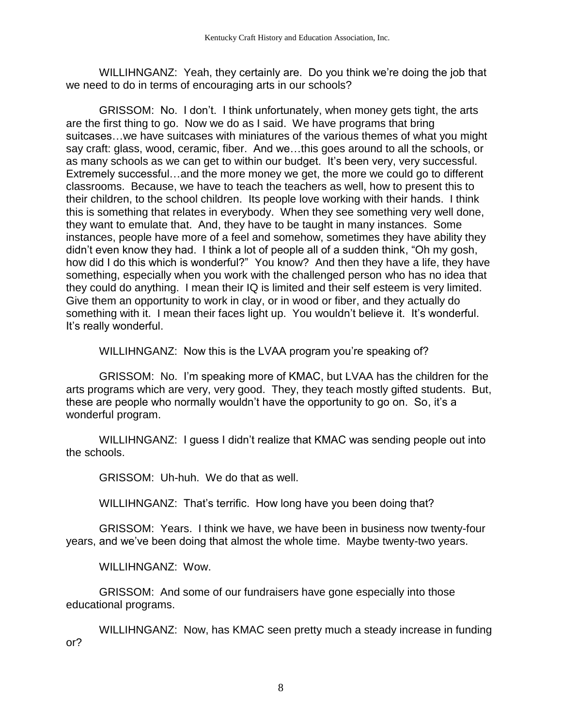WILLIHNGANZ: Yeah, they certainly are. Do you think we're doing the job that we need to do in terms of encouraging arts in our schools?

GRISSOM: No. I don't. I think unfortunately, when money gets tight, the arts are the first thing to go. Now we do as I said. We have programs that bring suitcases…we have suitcases with miniatures of the various themes of what you might say craft: glass, wood, ceramic, fiber. And we…this goes around to all the schools, or as many schools as we can get to within our budget. It's been very, very successful. Extremely successful…and the more money we get, the more we could go to different classrooms. Because, we have to teach the teachers as well, how to present this to their children, to the school children. Its people love working with their hands. I think this is something that relates in everybody. When they see something very well done, they want to emulate that. And, they have to be taught in many instances. Some instances, people have more of a feel and somehow, sometimes they have ability they didn't even know they had. I think a lot of people all of a sudden think, "Oh my gosh, how did I do this which is wonderful?" You know? And then they have a life, they have something, especially when you work with the challenged person who has no idea that they could do anything. I mean their IQ is limited and their self esteem is very limited. Give them an opportunity to work in clay, or in wood or fiber, and they actually do something with it. I mean their faces light up. You wouldn't believe it. It's wonderful. It's really wonderful.

WILLIHNGANZ: Now this is the LVAA program you're speaking of?

GRISSOM: No. I'm speaking more of KMAC, but LVAA has the children for the arts programs which are very, very good. They, they teach mostly gifted students. But, these are people who normally wouldn't have the opportunity to go on. So, it's a wonderful program.

WILLIHNGANZ: I guess I didn't realize that KMAC was sending people out into the schools.

GRISSOM: Uh-huh. We do that as well.

WILLIHNGANZ: That's terrific. How long have you been doing that?

GRISSOM: Years. I think we have, we have been in business now twenty-four years, and we've been doing that almost the whole time. Maybe twenty-two years.

WILLIHNGANZ: Wow.

GRISSOM: And some of our fundraisers have gone especially into those educational programs.

WILLIHNGANZ: Now, has KMAC seen pretty much a steady increase in funding or?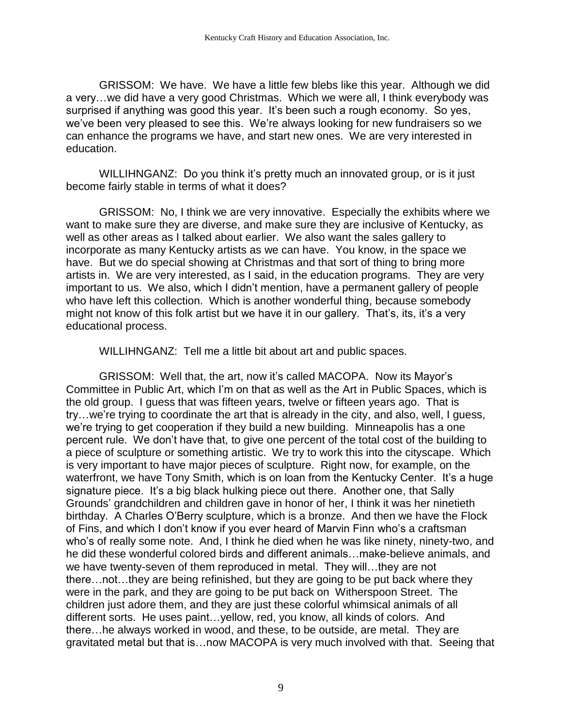GRISSOM: We have. We have a little few blebs like this year. Although we did a very…we did have a very good Christmas. Which we were all, I think everybody was surprised if anything was good this year. It's been such a rough economy. So yes, we've been very pleased to see this. We're always looking for new fundraisers so we can enhance the programs we have, and start new ones. We are very interested in education.

WILLIHNGANZ: Do you think it's pretty much an innovated group, or is it just become fairly stable in terms of what it does?

GRISSOM: No, I think we are very innovative. Especially the exhibits where we want to make sure they are diverse, and make sure they are inclusive of Kentucky, as well as other areas as I talked about earlier. We also want the sales gallery to incorporate as many Kentucky artists as we can have. You know, in the space we have. But we do special showing at Christmas and that sort of thing to bring more artists in. We are very interested, as I said, in the education programs. They are very important to us. We also, which I didn't mention, have a permanent gallery of people who have left this collection. Which is another wonderful thing, because somebody might not know of this folk artist but we have it in our gallery. That's, its, it's a very educational process.

WILLIHNGANZ: Tell me a little bit about art and public spaces.

GRISSOM: Well that, the art, now it's called MACOPA. Now its Mayor's Committee in Public Art, which I'm on that as well as the Art in Public Spaces, which is the old group. I guess that was fifteen years, twelve or fifteen years ago. That is try…we're trying to coordinate the art that is already in the city, and also, well, I guess, we're trying to get cooperation if they build a new building. Minneapolis has a one percent rule. We don't have that, to give one percent of the total cost of the building to a piece of sculpture or something artistic. We try to work this into the cityscape. Which is very important to have major pieces of sculpture. Right now, for example, on the waterfront, we have Tony Smith, which is on loan from the Kentucky Center. It's a huge signature piece. It's a big black hulking piece out there. Another one, that Sally Grounds' grandchildren and children gave in honor of her, I think it was her ninetieth birthday. A Charles O'Berry sculpture, which is a bronze. And then we have the Flock of Fins, and which I don't know if you ever heard of Marvin Finn who's a craftsman who's of really some note. And, I think he died when he was like ninety, ninety-two, and he did these wonderful colored birds and different animals…make-believe animals, and we have twenty-seven of them reproduced in metal. They will…they are not there…not…they are being refinished, but they are going to be put back where they were in the park, and they are going to be put back on Witherspoon Street. The children just adore them, and they are just these colorful whimsical animals of all different sorts. He uses paint…yellow, red, you know, all kinds of colors. And there…he always worked in wood, and these, to be outside, are metal. They are gravitated metal but that is…now MACOPA is very much involved with that. Seeing that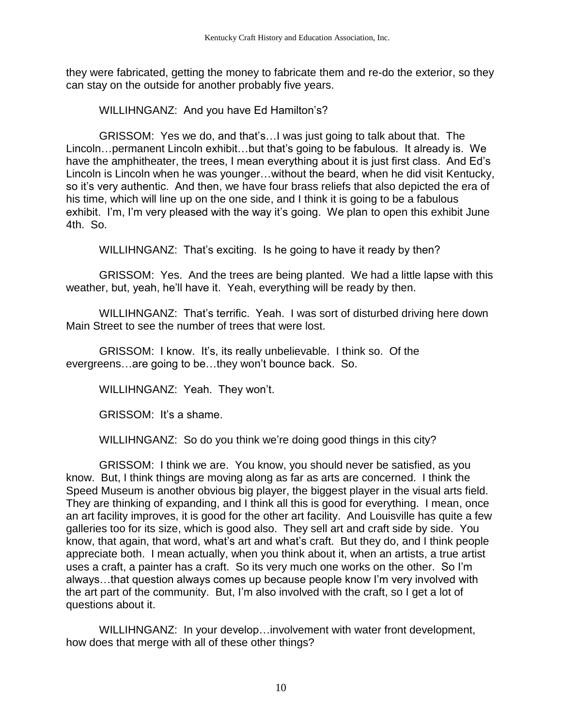they were fabricated, getting the money to fabricate them and re-do the exterior, so they can stay on the outside for another probably five years.

WILLIHNGANZ: And you have Ed Hamilton's?

GRISSOM: Yes we do, and that's…I was just going to talk about that. The Lincoln…permanent Lincoln exhibit…but that's going to be fabulous. It already is. We have the amphitheater, the trees, I mean everything about it is just first class. And Ed's Lincoln is Lincoln when he was younger…without the beard, when he did visit Kentucky, so it's very authentic. And then, we have four brass reliefs that also depicted the era of his time, which will line up on the one side, and I think it is going to be a fabulous exhibit. I'm, I'm very pleased with the way it's going. We plan to open this exhibit June 4th. So.

WILLIHNGANZ: That's exciting. Is he going to have it ready by then?

GRISSOM: Yes. And the trees are being planted. We had a little lapse with this weather, but, yeah, he'll have it. Yeah, everything will be ready by then.

WILLIHNGANZ: That's terrific. Yeah. I was sort of disturbed driving here down Main Street to see the number of trees that were lost.

GRISSOM: I know. It's, its really unbelievable. I think so. Of the evergreens…are going to be…they won't bounce back. So.

WILLIHNGANZ: Yeah. They won't.

GRISSOM: It's a shame.

WILLIHNGANZ: So do you think we're doing good things in this city?

GRISSOM: I think we are. You know, you should never be satisfied, as you know. But, I think things are moving along as far as arts are concerned. I think the Speed Museum is another obvious big player, the biggest player in the visual arts field. They are thinking of expanding, and I think all this is good for everything. I mean, once an art facility improves, it is good for the other art facility. And Louisville has quite a few galleries too for its size, which is good also. They sell art and craft side by side. You know, that again, that word, what's art and what's craft. But they do, and I think people appreciate both. I mean actually, when you think about it, when an artists, a true artist uses a craft, a painter has a craft. So its very much one works on the other. So I'm always…that question always comes up because people know I'm very involved with the art part of the community. But, I'm also involved with the craft, so I get a lot of questions about it.

WILLIHNGANZ: In your develop…involvement with water front development, how does that merge with all of these other things?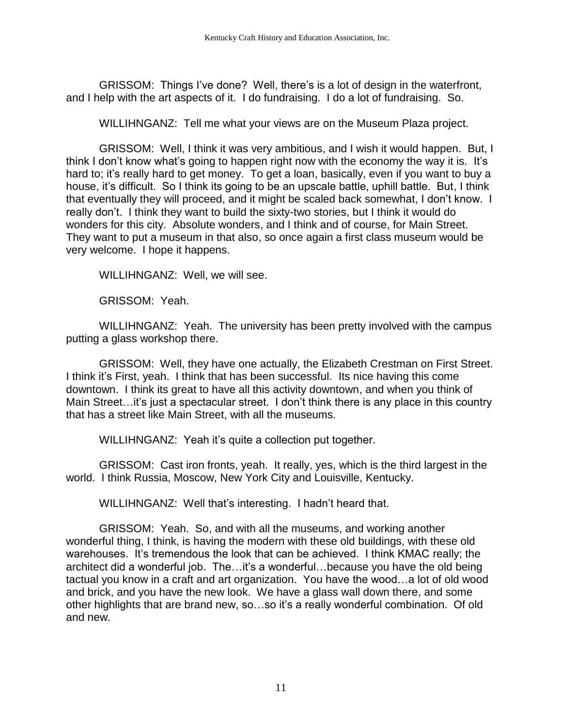GRISSOM: Things I've done? Well, there's is a lot of design in the waterfront, and I help with the art aspects of it. I do fundraising. I do a lot of fundraising. So.

WILLIHNGANZ: Tell me what your views are on the Museum Plaza project.

GRISSOM: Well, I think it was very ambitious, and I wish it would happen. But, I think I don't know what's going to happen right now with the economy the way it is. It's hard to; it's really hard to get money. To get a loan, basically, even if you want to buy a house, it's difficult. So I think its going to be an upscale battle, uphill battle. But, I think that eventually they will proceed, and it might be scaled back somewhat, I don't know. I really don't. I think they want to build the sixty-two stories, but I think it would do wonders for this city. Absolute wonders, and I think and of course, for Main Street. They want to put a museum in that also, so once again a first class museum would be very welcome. I hope it happens.

WILLIHNGANZ: Well, we will see.

GRISSOM: Yeah.

WILLIHNGANZ: Yeah. The university has been pretty involved with the campus putting a glass workshop there.

GRISSOM: Well, they have one actually, the Elizabeth Crestman on First Street. I think it's First, yeah. I think that has been successful. Its nice having this come downtown. I think its great to have all this activity downtown, and when you think of Main Street...it's just a spectacular street. I don't think there is any place in this country that has a street like Main Street, with all the museums.

WILLIHNGANZ: Yeah it's quite a collection put together.

GRISSOM: Cast iron fronts, yeah. It really, yes, which is the third largest in the world. I think Russia, Moscow, New York City and Louisville, Kentucky.

WILLIHNGANZ: Well that's interesting. I hadn't heard that.

GRISSOM: Yeah. So, and with all the museums, and working another wonderful thing, I think, is having the modern with these old buildings, with these old warehouses. It's tremendous the look that can be achieved. I think KMAC really; the architect did a wonderful job. The…it's a wonderful…because you have the old being tactual you know in a craft and art organization. You have the wood…a lot of old wood and brick, and you have the new look. We have a glass wall down there, and some other highlights that are brand new, so…so it's a really wonderful combination. Of old and new.